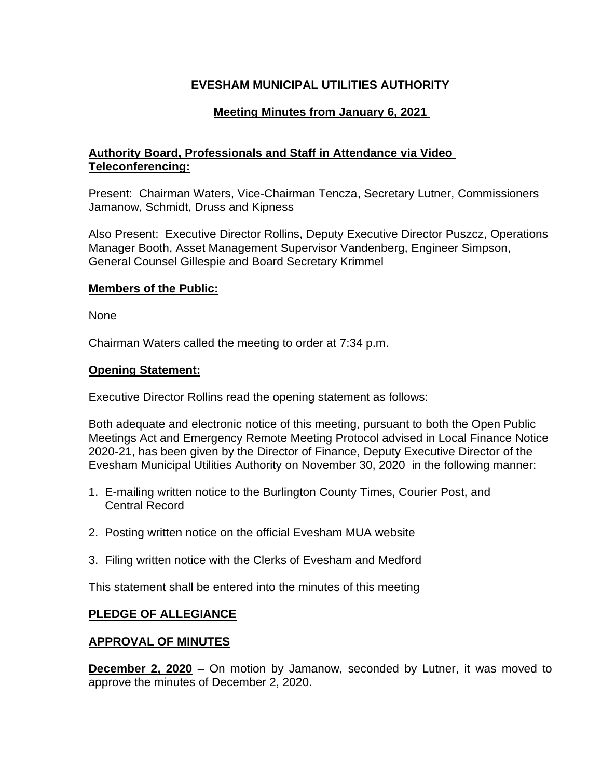# **EVESHAM MUNICIPAL UTILITIES AUTHORITY**

# **Meeting Minutes from January 6, 2021**

# **Authority Board, Professionals and Staff in Attendance via Video Teleconferencing:**

Present: Chairman Waters, Vice-Chairman Tencza, Secretary Lutner, Commissioners Jamanow, Schmidt, Druss and Kipness

Also Present: Executive Director Rollins, Deputy Executive Director Puszcz, Operations Manager Booth, Asset Management Supervisor Vandenberg, Engineer Simpson, General Counsel Gillespie and Board Secretary Krimmel

### **Members of the Public:**

None

Chairman Waters called the meeting to order at 7:34 p.m.

### **Opening Statement:**

Executive Director Rollins read the opening statement as follows:

Both adequate and electronic notice of this meeting, pursuant to both the Open Public Meetings Act and Emergency Remote Meeting Protocol advised in Local Finance Notice 2020-21, has been given by the Director of Finance, Deputy Executive Director of the Evesham Municipal Utilities Authority on November 30, 2020 in the following manner:

- 1. E-mailing written notice to the Burlington County Times, Courier Post, and Central Record
- 2. Posting written notice on the official Evesham MUA website
- 3. Filing written notice with the Clerks of Evesham and Medford

This statement shall be entered into the minutes of this meeting

## **PLEDGE OF ALLEGIANCE**

## **APPROVAL OF MINUTES**

**December 2, 2020** – On motion by Jamanow, seconded by Lutner, it was moved to approve the minutes of December 2, 2020.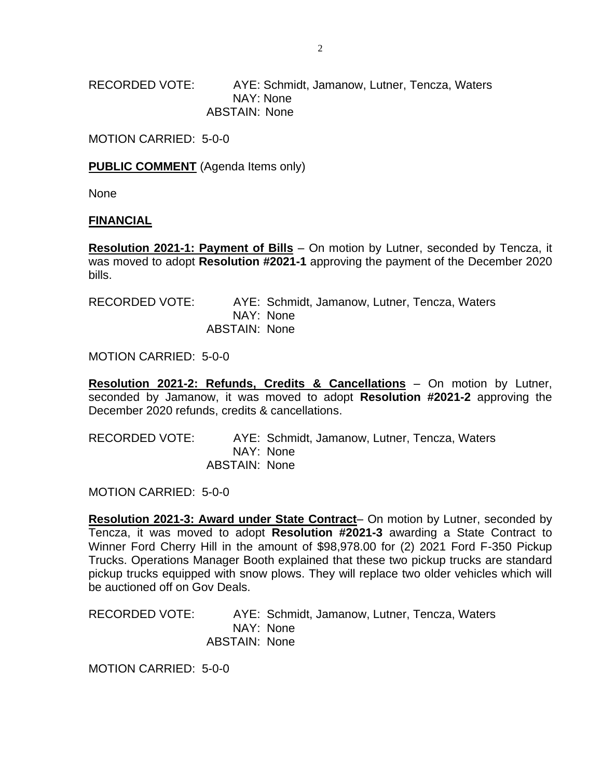RECORDED VOTE: AYE: Schmidt, Jamanow, Lutner, Tencza, Waters NAY: None ABSTAIN: None

MOTION CARRIED: 5-0-0

**PUBLIC COMMENT** (Agenda Items only)

None

#### **FINANCIAL**

**Resolution 2021-1: Payment of Bills** – On motion by Lutner, seconded by Tencza, it was moved to adopt **Resolution #2021-1** approving the payment of the December 2020 bills.

| RECORDED VOTE: |                      |           | AYE: Schmidt, Jamanow, Lutner, Tencza, Waters |  |  |
|----------------|----------------------|-----------|-----------------------------------------------|--|--|
|                |                      | NAY: None |                                               |  |  |
|                | <b>ABSTAIN: None</b> |           |                                               |  |  |

MOTION CARRIED: 5-0-0

**Resolution 2021-2: Refunds, Credits & Cancellations** – On motion by Lutner, seconded by Jamanow, it was moved to adopt **Resolution #2021-2** approving the December 2020 refunds, credits & cancellations.

| RECORDED VOTE: |                      | AYE: Schmidt, Jamanow, Lutner, Tencza, Waters |  |
|----------------|----------------------|-----------------------------------------------|--|
|                |                      | NAY: None                                     |  |
|                | <b>ABSTAIN: None</b> |                                               |  |

MOTION CARRIED: 5-0-0

**Resolution 2021-3: Award under State Contract**– On motion by Lutner, seconded by Tencza, it was moved to adopt **Resolution #2021-3** awarding a State Contract to Winner Ford Cherry Hill in the amount of \$98,978.00 for (2) 2021 Ford F-350 Pickup Trucks. Operations Manager Booth explained that these two pickup trucks are standard pickup trucks equipped with snow plows. They will replace two older vehicles which will be auctioned off on Gov Deals.

RECORDED VOTE: AYE: Schmidt, Jamanow, Lutner, Tencza, Waters NAY: None ABSTAIN: None

MOTION CARRIED: 5-0-0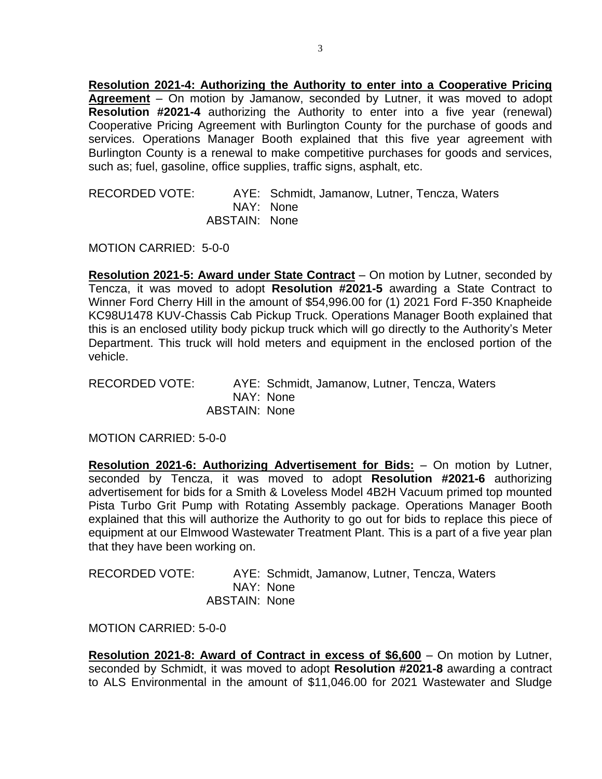**Resolution 2021-4: Authorizing the Authority to enter into a Cooperative Pricing Agreement** – On motion by Jamanow, seconded by Lutner, it was moved to adopt **Resolution #2021-4** authorizing the Authority to enter into a five year (renewal) Cooperative Pricing Agreement with Burlington County for the purchase of goods and services. Operations Manager Booth explained that this five year agreement with Burlington County is a renewal to make competitive purchases for goods and services, such as; fuel, gasoline, office supplies, traffic signs, asphalt, etc.

RECORDED VOTE: AYE: Schmidt, Jamanow, Lutner, Tencza, Waters NAY: None ABSTAIN: None

MOTION CARRIED: 5-0-0

**Resolution 2021-5: Award under State Contract** – On motion by Lutner, seconded by Tencza, it was moved to adopt **Resolution #2021-5** awarding a State Contract to Winner Ford Cherry Hill in the amount of \$54,996.00 for (1) 2021 Ford F-350 Knapheide KC98U1478 KUV-Chassis Cab Pickup Truck. Operations Manager Booth explained that this is an enclosed utility body pickup truck which will go directly to the Authority's Meter Department. This truck will hold meters and equipment in the enclosed portion of the vehicle.

RECORDED VOTE: AYE: Schmidt, Jamanow, Lutner, Tencza, Waters NAY: None ABSTAIN: None

MOTION CARRIED: 5-0-0

**Resolution 2021-6: Authorizing Advertisement for Bids:** – On motion by Lutner, seconded by Tencza, it was moved to adopt **Resolution #2021-6** authorizing advertisement for bids for a Smith & Loveless Model 4B2H Vacuum primed top mounted Pista Turbo Grit Pump with Rotating Assembly package. Operations Manager Booth explained that this will authorize the Authority to go out for bids to replace this piece of equipment at our Elmwood Wastewater Treatment Plant. This is a part of a five year plan that they have been working on.

| <b>RECORDED VOTE:</b> |               | AYE: Schmidt, Jamanow, Lutner, Tencza, Waters |
|-----------------------|---------------|-----------------------------------------------|
|                       |               | NAY: None                                     |
|                       | ABSTAIN: None |                                               |

MOTION CARRIED: 5-0-0

**Resolution 2021-8: Award of Contract in excess of \$6,600** – On motion by Lutner, seconded by Schmidt, it was moved to adopt **Resolution #2021-8** awarding a contract to ALS Environmental in the amount of \$11,046.00 for 2021 Wastewater and Sludge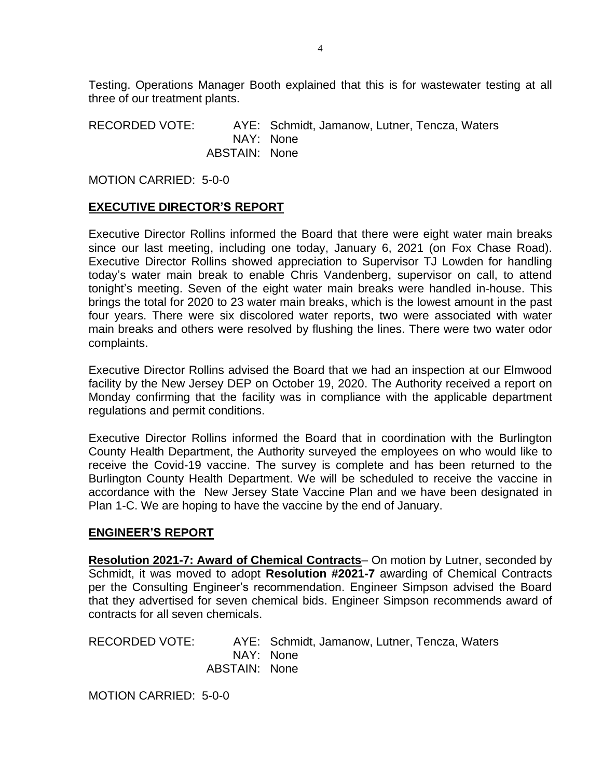Testing. Operations Manager Booth explained that this is for wastewater testing at all three of our treatment plants.

RECORDED VOTE: AYE: Schmidt, Jamanow, Lutner, Tencza, Waters NAY: None ABSTAIN: None

MOTION CARRIED: 5-0-0

### **EXECUTIVE DIRECTOR'S REPORT**

Executive Director Rollins informed the Board that there were eight water main breaks since our last meeting, including one today, January 6, 2021 (on Fox Chase Road). Executive Director Rollins showed appreciation to Supervisor TJ Lowden for handling today's water main break to enable Chris Vandenberg, supervisor on call, to attend tonight's meeting. Seven of the eight water main breaks were handled in-house. This brings the total for 2020 to 23 water main breaks, which is the lowest amount in the past four years. There were six discolored water reports, two were associated with water main breaks and others were resolved by flushing the lines. There were two water odor complaints.

Executive Director Rollins advised the Board that we had an inspection at our Elmwood facility by the New Jersey DEP on October 19, 2020. The Authority received a report on Monday confirming that the facility was in compliance with the applicable department regulations and permit conditions.

Executive Director Rollins informed the Board that in coordination with the Burlington County Health Department, the Authority surveyed the employees on who would like to receive the Covid-19 vaccine. The survey is complete and has been returned to the Burlington County Health Department. We will be scheduled to receive the vaccine in accordance with the New Jersey State Vaccine Plan and we have been designated in Plan 1-C. We are hoping to have the vaccine by the end of January.

#### **ENGINEER'S REPORT**

**Resolution 2021-7: Award of Chemical Contracts**– On motion by Lutner, seconded by Schmidt, it was moved to adopt **Resolution #2021-7** awarding of Chemical Contracts per the Consulting Engineer's recommendation. Engineer Simpson advised the Board that they advertised for seven chemical bids. Engineer Simpson recommends award of contracts for all seven chemicals.

RECORDED VOTE: AYE: Schmidt, Jamanow, Lutner, Tencza, Waters NAY: None ABSTAIN: None

MOTION CARRIED: 5-0-0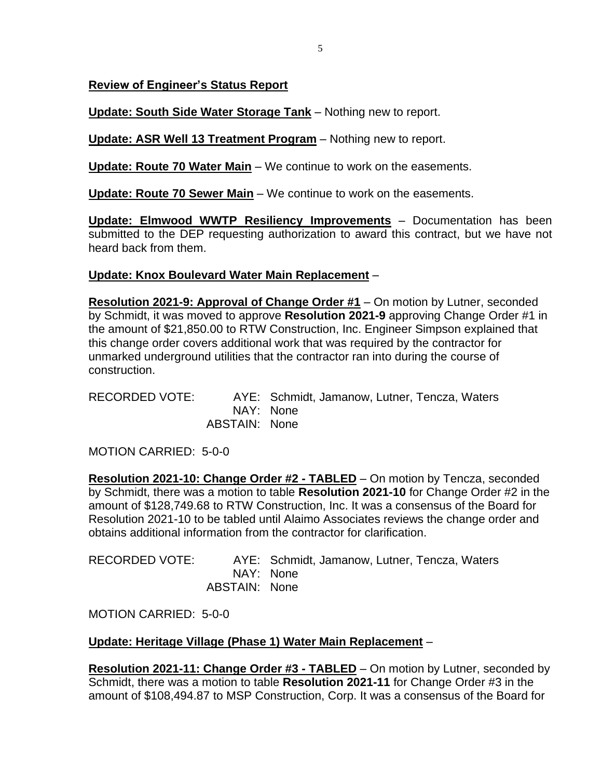**Review of Engineer's Status Report**

**Update: South Side Water Storage Tank** – Nothing new to report.

**Update: ASR Well 13 Treatment Program** – Nothing new to report.

**Update: Route 70 Water Main** – We continue to work on the easements.

**Update: Route 70 Sewer Main** – We continue to work on the easements.

**Update: Elmwood WWTP Resiliency Improvements** – Documentation has been submitted to the DEP requesting authorization to award this contract, but we have not heard back from them.

# **Update: Knox Boulevard Water Main Replacement** –

**Resolution 2021-9: Approval of Change Order #1** – On motion by Lutner, seconded by Schmidt, it was moved to approve **Resolution 2021-9** approving Change Order #1 in the amount of \$21,850.00 to RTW Construction, Inc. Engineer Simpson explained that this change order covers additional work that was required by the contractor for unmarked underground utilities that the contractor ran into during the course of construction.

RECORDED VOTE: AYE: Schmidt, Jamanow, Lutner, Tencza, Waters NAY: None ABSTAIN: None

MOTION CARRIED: 5-0-0

**Resolution 2021-10: Change Order #2 - TABLED** – On motion by Tencza, seconded by Schmidt, there was a motion to table **Resolution 2021-10** for Change Order #2 in the amount of \$128,749.68 to RTW Construction, Inc. It was a consensus of the Board for Resolution 2021-10 to be tabled until Alaimo Associates reviews the change order and obtains additional information from the contractor for clarification.

| RECORDED VOTE: |               | AYE: Schmidt, Jamanow, Lutner, Tencza, Waters |
|----------------|---------------|-----------------------------------------------|
|                |               | NAY: None                                     |
|                | ABSTAIN: None |                                               |

MOTION CARRIED: 5-0-0

# **Update: Heritage Village (Phase 1) Water Main Replacement** –

**Resolution 2021-11: Change Order #3 - TABLED** – On motion by Lutner, seconded by Schmidt, there was a motion to table **Resolution 2021-11** for Change Order #3 in the amount of \$108,494.87 to MSP Construction, Corp. It was a consensus of the Board for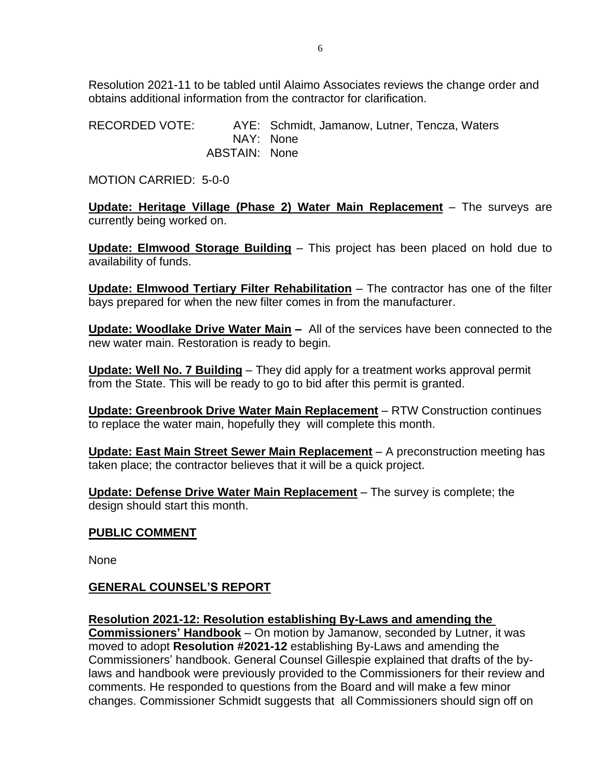Resolution 2021-11 to be tabled until Alaimo Associates reviews the change order and obtains additional information from the contractor for clarification.

RECORDED VOTE: AYE: Schmidt, Jamanow, Lutner, Tencza, Waters NAY: None ABSTAIN: None

MOTION CARRIED: 5-0-0

**Update: Heritage Village (Phase 2) Water Main Replacement** – The surveys are currently being worked on.

**Update: Elmwood Storage Building** – This project has been placed on hold due to availability of funds.

**Update: Elmwood Tertiary Filter Rehabilitation** – The contractor has one of the filter bays prepared for when the new filter comes in from the manufacturer.

**Update: Woodlake Drive Water Main –** All of the services have been connected to the new water main. Restoration is ready to begin.

**Update: Well No. 7 Building** – They did apply for a treatment works approval permit from the State. This will be ready to go to bid after this permit is granted.

**Update: Greenbrook Drive Water Main Replacement** – RTW Construction continues to replace the water main, hopefully they will complete this month.

**Update: East Main Street Sewer Main Replacement** – A preconstruction meeting has taken place; the contractor believes that it will be a quick project.

**Update: Defense Drive Water Main Replacement** – The survey is complete; the design should start this month.

## **PUBLIC COMMENT**

None

## **GENERAL COUNSEL'S REPORT**

#### **Resolution 2021-12: Resolution establishing By-Laws and amending the**

**Commissioners' Handbook** – On motion by Jamanow, seconded by Lutner, it was moved to adopt **Resolution #2021-12** establishing By-Laws and amending the Commissioners' handbook. General Counsel Gillespie explained that drafts of the bylaws and handbook were previously provided to the Commissioners for their review and comments. He responded to questions from the Board and will make a few minor changes. Commissioner Schmidt suggests that all Commissioners should sign off on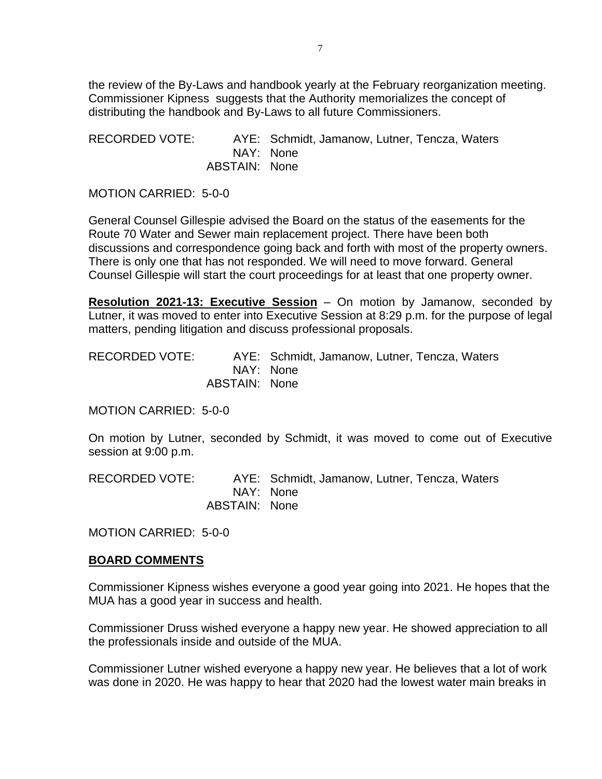the review of the By-Laws and handbook yearly at the February reorganization meeting. Commissioner Kipness suggests that the Authority memorializes the concept of distributing the handbook and By-Laws to all future Commissioners.

RECORDED VOTE: AYE: Schmidt, Jamanow, Lutner, Tencza, Waters NAY: None ABSTAIN: None

MOTION CARRIED: 5-0-0

General Counsel Gillespie advised the Board on the status of the easements for the Route 70 Water and Sewer main replacement project. There have been both discussions and correspondence going back and forth with most of the property owners. There is only one that has not responded. We will need to move forward. General Counsel Gillespie will start the court proceedings for at least that one property owner.

**Resolution 2021-13: Executive Session** – On motion by Jamanow, seconded by Lutner, it was moved to enter into Executive Session at 8:29 p.m. for the purpose of legal matters, pending litigation and discuss professional proposals.

RECORDED VOTE: AYE: Schmidt, Jamanow, Lutner, Tencza, Waters NAY: None ABSTAIN: None

MOTION CARRIED: 5-0-0

On motion by Lutner, seconded by Schmidt, it was moved to come out of Executive session at 9:00 p.m.

RECORDED VOTE: AYE: Schmidt, Jamanow, Lutner, Tencza, Waters NAY: None ABSTAIN: None

MOTION CARRIED: 5-0-0

## **BOARD COMMENTS**

Commissioner Kipness wishes everyone a good year going into 2021. He hopes that the MUA has a good year in success and health.

Commissioner Druss wished everyone a happy new year. He showed appreciation to all the professionals inside and outside of the MUA.

Commissioner Lutner wished everyone a happy new year. He believes that a lot of work was done in 2020. He was happy to hear that 2020 had the lowest water main breaks in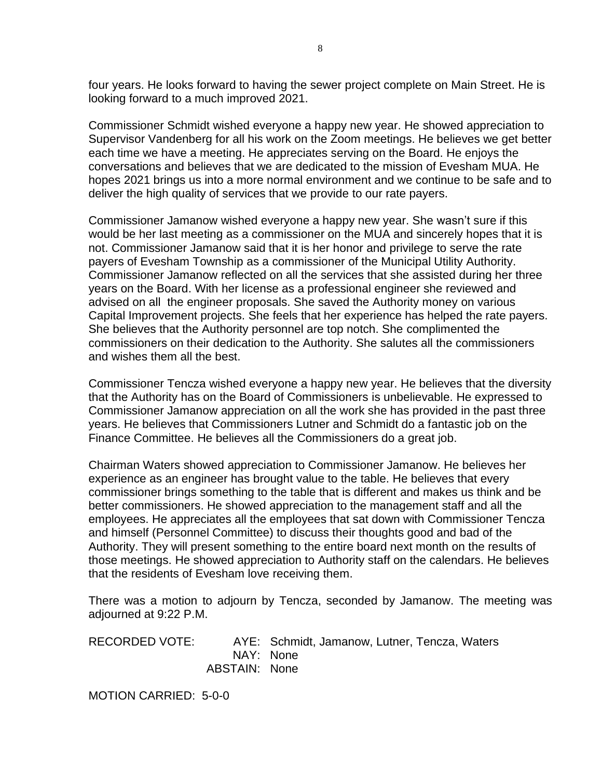four years. He looks forward to having the sewer project complete on Main Street. He is looking forward to a much improved 2021.

Commissioner Schmidt wished everyone a happy new year. He showed appreciation to Supervisor Vandenberg for all his work on the Zoom meetings. He believes we get better each time we have a meeting. He appreciates serving on the Board. He enjoys the conversations and believes that we are dedicated to the mission of Evesham MUA. He hopes 2021 brings us into a more normal environment and we continue to be safe and to deliver the high quality of services that we provide to our rate payers.

Commissioner Jamanow wished everyone a happy new year. She wasn't sure if this would be her last meeting as a commissioner on the MUA and sincerely hopes that it is not. Commissioner Jamanow said that it is her honor and privilege to serve the rate payers of Evesham Township as a commissioner of the Municipal Utility Authority. Commissioner Jamanow reflected on all the services that she assisted during her three years on the Board. With her license as a professional engineer she reviewed and advised on all the engineer proposals. She saved the Authority money on various Capital Improvement projects. She feels that her experience has helped the rate payers. She believes that the Authority personnel are top notch. She complimented the commissioners on their dedication to the Authority. She salutes all the commissioners and wishes them all the best.

Commissioner Tencza wished everyone a happy new year. He believes that the diversity that the Authority has on the Board of Commissioners is unbelievable. He expressed to Commissioner Jamanow appreciation on all the work she has provided in the past three years. He believes that Commissioners Lutner and Schmidt do a fantastic job on the Finance Committee. He believes all the Commissioners do a great job.

Chairman Waters showed appreciation to Commissioner Jamanow. He believes her experience as an engineer has brought value to the table. He believes that every commissioner brings something to the table that is different and makes us think and be better commissioners. He showed appreciation to the management staff and all the employees. He appreciates all the employees that sat down with Commissioner Tencza and himself (Personnel Committee) to discuss their thoughts good and bad of the Authority. They will present something to the entire board next month on the results of those meetings. He showed appreciation to Authority staff on the calendars. He believes that the residents of Evesham love receiving them.

There was a motion to adjourn by Tencza, seconded by Jamanow. The meeting was adjourned at 9:22 P.M.

RECORDED VOTE: AYE: Schmidt, Jamanow, Lutner, Tencza, Waters NAY: None ABSTAIN: None

MOTION CARRIED: 5-0-0